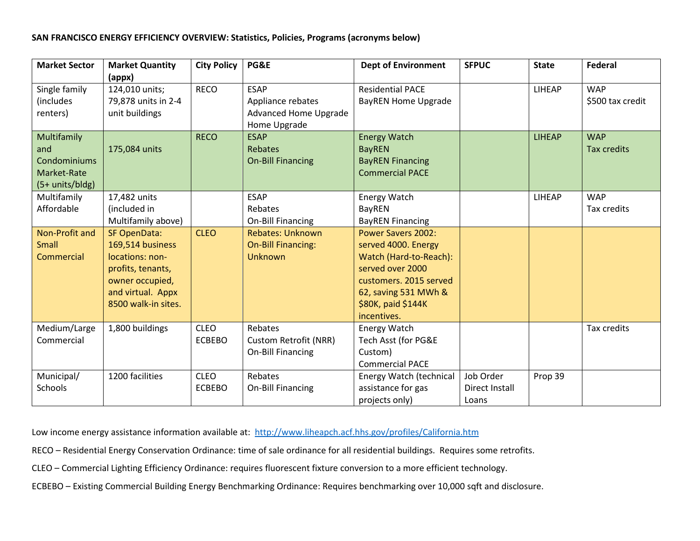## **SAN FRANCISCO ENERGY EFFICIENCY OVERVIEW: Statistics, Policies, Programs (acronyms below)**

| <b>Market Sector</b>                                                      | <b>Market Quantity</b>                                                                                                                         | <b>City Policy</b>           | PG&E                                                                             | <b>Dept of Environment</b>                                                                                                                                                            | <b>SFPUC</b>                         | <b>State</b>  | <b>Federal</b>                 |
|---------------------------------------------------------------------------|------------------------------------------------------------------------------------------------------------------------------------------------|------------------------------|----------------------------------------------------------------------------------|---------------------------------------------------------------------------------------------------------------------------------------------------------------------------------------|--------------------------------------|---------------|--------------------------------|
| Single family<br>(includes<br>renters)                                    | (appx)<br>124,010 units;<br>79,878 units in 2-4<br>unit buildings                                                                              | <b>RECO</b>                  | <b>ESAP</b><br>Appliance rebates<br><b>Advanced Home Upgrade</b><br>Home Upgrade | <b>Residential PACE</b><br><b>BayREN Home Upgrade</b>                                                                                                                                 |                                      | LIHEAP        | <b>WAP</b><br>\$500 tax credit |
| Multifamily<br>and<br><b>Condominiums</b><br>Market-Rate<br>$(5+units/b)$ | 175,084 units                                                                                                                                  | <b>RECO</b>                  | <b>ESAP</b><br><b>Rebates</b><br><b>On-Bill Financing</b>                        | <b>Energy Watch</b><br><b>BayREN</b><br><b>BayREN Financing</b><br><b>Commercial PACE</b>                                                                                             |                                      | <b>LIHEAP</b> | <b>WAP</b><br>Tax credits      |
| Multifamily<br>Affordable                                                 | 17,482 units<br>(included in<br>Multifamily above)                                                                                             |                              | <b>ESAP</b><br>Rebates<br><b>On-Bill Financing</b>                               | <b>Energy Watch</b><br><b>BayREN</b><br><b>BayREN Financing</b>                                                                                                                       |                                      | <b>LIHEAP</b> | <b>WAP</b><br>Tax credits      |
| Non-Profit and<br><b>Small</b><br><b>Commercial</b>                       | <b>SF OpenData:</b><br>169,514 business<br>locations: non-<br>profits, tenants,<br>owner occupied,<br>and virtual. Appx<br>8500 walk-in sites. | <b>CLEO</b>                  | <b>Rebates: Unknown</b><br><b>On-Bill Financing:</b><br><b>Unknown</b>           | <b>Power Savers 2002:</b><br>served 4000. Energy<br>Watch (Hard-to-Reach):<br>served over 2000<br>customers. 2015 served<br>62, saving 531 MWh &<br>\$80K, paid \$144K<br>incentives. |                                      |               |                                |
| Medium/Large<br>Commercial                                                | 1,800 buildings                                                                                                                                | <b>CLEO</b><br><b>ECBEBO</b> | Rebates<br>Custom Retrofit (NRR)<br><b>On-Bill Financing</b>                     | Energy Watch<br>Tech Asst (for PG&E<br>Custom)<br><b>Commercial PACE</b>                                                                                                              |                                      |               | <b>Tax credits</b>             |
| Municipal/<br>Schools                                                     | 1200 facilities                                                                                                                                | <b>CLEO</b><br><b>ECBEBO</b> | Rebates<br><b>On-Bill Financing</b>                                              | Energy Watch (technical<br>assistance for gas<br>projects only)                                                                                                                       | Job Order<br>Direct Install<br>Loans | Prop 39       |                                |

Low income energy assistance information available at: <http://www.liheapch.acf.hhs.gov/profiles/California.htm>

- RECO Residential Energy Conservation Ordinance: time of sale ordinance for all residential buildings. Requires some retrofits.
- CLEO Commercial Lighting Efficiency Ordinance: requires fluorescent fixture conversion to a more efficient technology.
- ECBEBO Existing Commercial Building Energy Benchmarking Ordinance: Requires benchmarking over 10,000 sqft and disclosure.